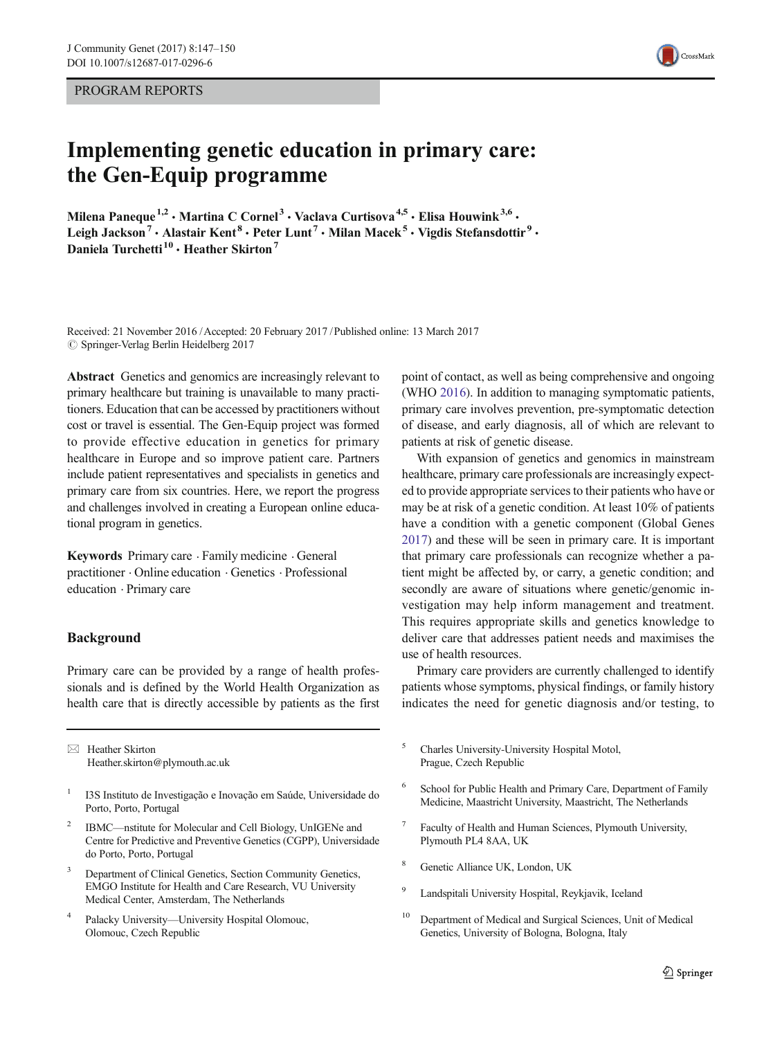PROGRAM REPORTS

# Implementing genetic education in primary care: the Gen-Equip programme

Milena Paneque<sup>1,2</sup> · Martina C Cornel<sup>3</sup> · Vaclava Curtisova<sup>4,5</sup> · Elisa Houwink<sup>3,6</sup> · Leigh Jackson<sup>7</sup> • Alastair Kent<sup>8</sup> • Peter Lunt<sup>7</sup> • Milan Macek<sup>5</sup> • Vigdis Stefansdottir<sup>9</sup> • Daniela Turchetti<sup>10</sup> · Heather Skirton<sup>7</sup>

Received: 21 November 2016 /Accepted: 20 February 2017 /Published online: 13 March 2017  $\oslash$  Springer-Verlag Berlin Heidelberg 2017

Abstract Genetics and genomics are increasingly relevant to primary healthcare but training is unavailable to many practitioners. Education that can be accessed by practitioners without cost or travel is essential. The Gen-Equip project was formed to provide effective education in genetics for primary healthcare in Europe and so improve patient care. Partners include patient representatives and specialists in genetics and primary care from six countries. Here, we report the progress and challenges involved in creating a European online educational program in genetics.

Keywords Primary care . Family medicine . General practitioner . Online education . Genetics . Professional education . Primary care

## Background

Primary care can be provided by a range of health professionals and is defined by the World Health Organization as health care that is directly accessible by patients as the first

 $\boxtimes$  Heather Skirton Heather.skirton@plymouth.ac.uk

- <sup>1</sup> I3S Instituto de Investigação e Inovação em Saúde, Universidade do Porto, Porto, Portugal
- <sup>2</sup> IBMC—nstitute for Molecular and Cell Biology, UnIGENe and Centre for Predictive and Preventive Genetics (CGPP), Universidade do Porto, Porto, Portugal
- Department of Clinical Genetics, Section Community Genetics, EMGO Institute for Health and Care Research, VU University Medical Center, Amsterdam, The Netherlands
- <sup>4</sup> Palacky University—University Hospital Olomouc, Olomouc, Czech Republic

point of contact, as well as being comprehensive and ongoing (WHO [2016\)](#page-3-0). In addition to managing symptomatic patients, primary care involves prevention, pre-symptomatic detection of disease, and early diagnosis, all of which are relevant to patients at risk of genetic disease.

With expansion of genetics and genomics in mainstream healthcare, primary care professionals are increasingly expected to provide appropriate services to their patients who have or may be at risk of a genetic condition. At least 10% of patients have a condition with a genetic component (Global Genes [2017\)](#page-2-0) and these will be seen in primary care. It is important that primary care professionals can recognize whether a patient might be affected by, or carry, a genetic condition; and secondly are aware of situations where genetic/genomic investigation may help inform management and treatment. This requires appropriate skills and genetics knowledge to deliver care that addresses patient needs and maximises the use of health resources.

Primary care providers are currently challenged to identify patients whose symptoms, physical findings, or family history indicates the need for genetic diagnosis and/or testing, to

- <sup>5</sup> Charles University-University Hospital Motol, Prague, Czech Republic
- <sup>6</sup> School for Public Health and Primary Care, Department of Family Medicine, Maastricht University, Maastricht, The Netherlands
- <sup>7</sup> Faculty of Health and Human Sciences, Plymouth University, Plymouth PL4 8AA, UK
- <sup>8</sup> Genetic Alliance UK, London, UK
- <sup>9</sup> Landspitali University Hospital, Reykjavik, Iceland
- <sup>10</sup> Department of Medical and Surgical Sciences, Unit of Medical Genetics, University of Bologna, Bologna, Italy

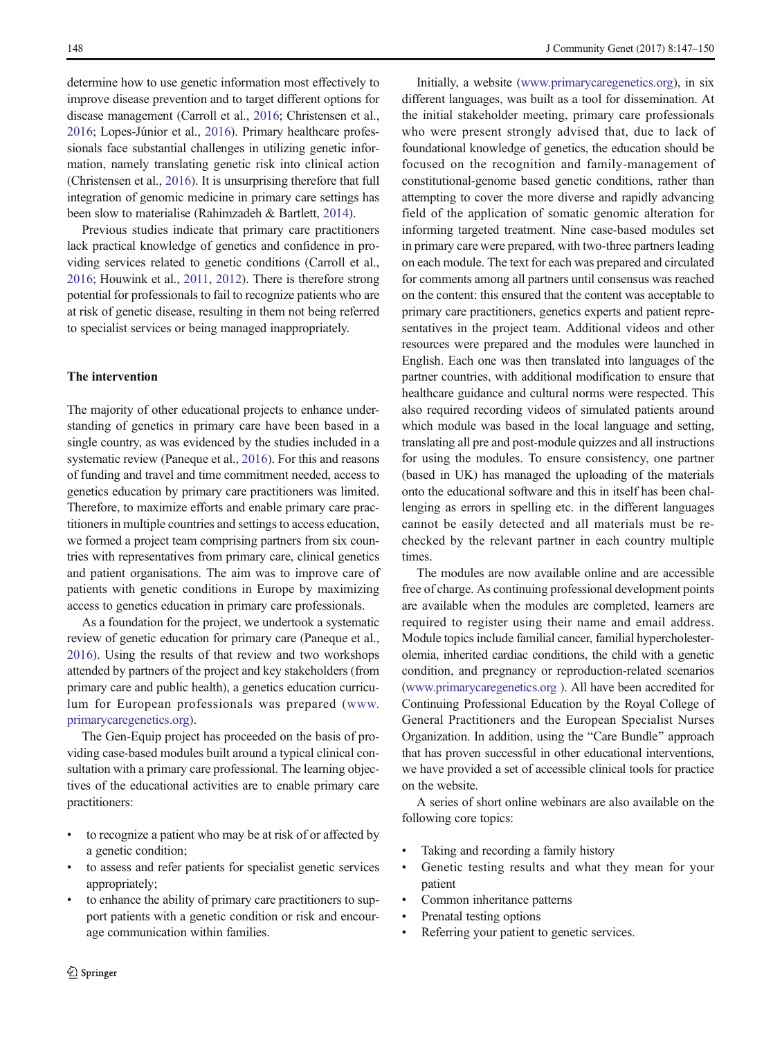determine how to use genetic information most effectively to improve disease prevention and to target different options for disease management (Carroll et al., [2016;](#page-2-0) Christensen et al., [2016;](#page-2-0) Lopes-Júnior et al., [2016\)](#page-3-0). Primary healthcare professionals face substantial challenges in utilizing genetic information, namely translating genetic risk into clinical action (Christensen et al., [2016\)](#page-2-0). It is unsurprising therefore that full integration of genomic medicine in primary care settings has been slow to materialise (Rahimzadeh & Bartlett, [2014\)](#page-3-0).

Previous studies indicate that primary care practitioners lack practical knowledge of genetics and confidence in providing services related to genetic conditions (Carroll et al., [2016;](#page-2-0) Houwink et al., [2011](#page-3-0), [2012](#page-2-0)). There is therefore strong potential for professionals to fail to recognize patients who are at risk of genetic disease, resulting in them not being referred to specialist services or being managed inappropriately.

## The intervention

The majority of other educational projects to enhance understanding of genetics in primary care have been based in a single country, as was evidenced by the studies included in a systematic review (Paneque et al., [2016\)](#page-3-0). For this and reasons of funding and travel and time commitment needed, access to genetics education by primary care practitioners was limited. Therefore, to maximize efforts and enable primary care practitioners in multiple countries and settings to access education, we formed a project team comprising partners from six countries with representatives from primary care, clinical genetics and patient organisations. The aim was to improve care of patients with genetic conditions in Europe by maximizing access to genetics education in primary care professionals.

As a foundation for the project, we undertook a systematic review of genetic education for primary care (Paneque et al., [2016\)](#page-3-0). Using the results of that review and two workshops attended by partners of the project and key stakeholders (from primary care and public health), a genetics education curriculum for European professionals was prepared ([www.](http://www.primarycaregenetics.org) [primarycaregenetics.org](http://www.primarycaregenetics.org)).

The Gen-Equip project has proceeded on the basis of providing case-based modules built around a typical clinical consultation with a primary care professional. The learning objectives of the educational activities are to enable primary care practitioners:

- & to recognize a patient who may be at risk of or affected by a genetic condition;
- & to assess and refer patients for specialist genetic services appropriately;
- to enhance the ability of primary care practitioners to support patients with a genetic condition or risk and encourage communication within families.

Initially, a website ([www.primarycaregenetics.org\)](http://www.primarycaregenetics.org), in six different languages, was built as a tool for dissemination. At the initial stakeholder meeting, primary care professionals who were present strongly advised that, due to lack of foundational knowledge of genetics, the education should be focused on the recognition and family-management of constitutional-genome based genetic conditions, rather than attempting to cover the more diverse and rapidly advancing field of the application of somatic genomic alteration for informing targeted treatment. Nine case-based modules set in primary care were prepared, with two-three partners leading on each module. The text for each was prepared and circulated for comments among all partners until consensus was reached on the content: this ensured that the content was acceptable to primary care practitioners, genetics experts and patient representatives in the project team. Additional videos and other resources were prepared and the modules were launched in English. Each one was then translated into languages of the partner countries, with additional modification to ensure that healthcare guidance and cultural norms were respected. This also required recording videos of simulated patients around which module was based in the local language and setting, translating all pre and post-module quizzes and all instructions for using the modules. To ensure consistency, one partner (based in UK) has managed the uploading of the materials onto the educational software and this in itself has been challenging as errors in spelling etc. in the different languages cannot be easily detected and all materials must be rechecked by the relevant partner in each country multiple times.

The modules are now available online and are accessible free of charge. As continuing professional development points are available when the modules are completed, learners are required to register using their name and email address. Module topics include familial cancer, familial hypercholesterolemia, inherited cardiac conditions, the child with a genetic condition, and pregnancy or reproduction-related scenarios [\(www.primarycaregenetics.org](http://www.primarycaregenetics.org) ). All have been accredited for Continuing Professional Education by the Royal College of General Practitioners and the European Specialist Nurses Organization. In addition, using the "Care Bundle" approach that has proven successful in other educational interventions, we have provided a set of accessible clinical tools for practice on the website.

A series of short online webinars are also available on the following core topics:

- Taking and recording a family history
- Genetic testing results and what they mean for your patient
- Common inheritance patterns
- Prenatal testing options
- Referring your patient to genetic services.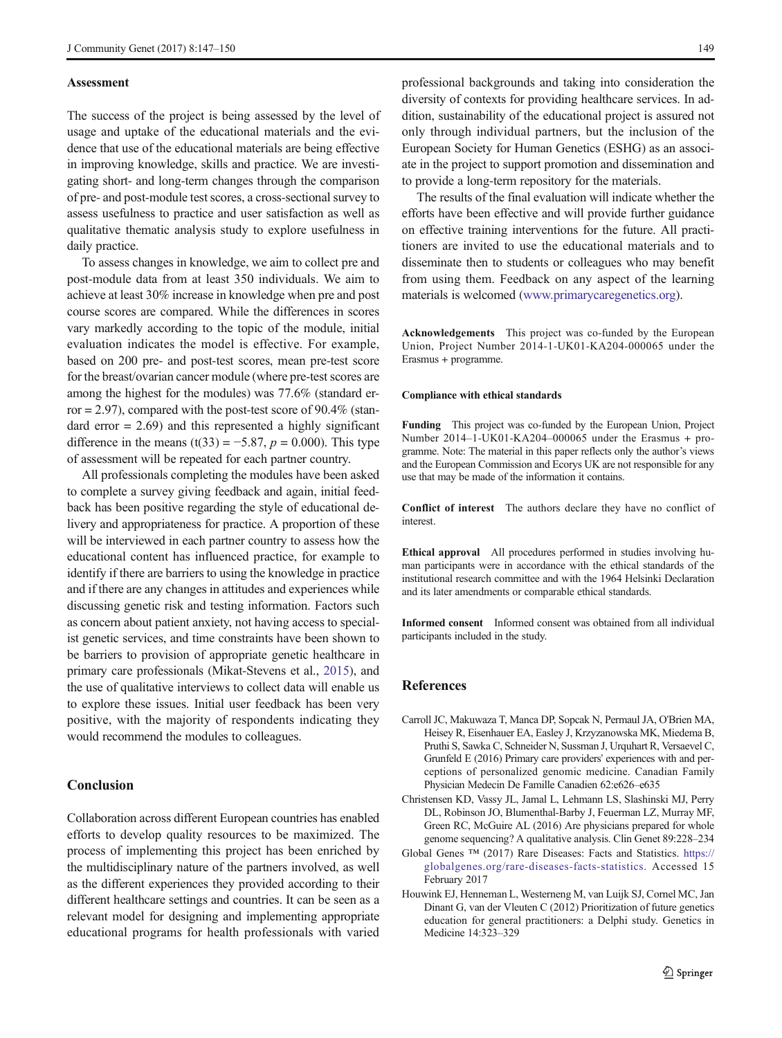### <span id="page-2-0"></span>Assessment

The success of the project is being assessed by the level of usage and uptake of the educational materials and the evidence that use of the educational materials are being effective in improving knowledge, skills and practice. We are investigating short- and long-term changes through the comparison of pre- and post-module test scores, a cross-sectional survey to assess usefulness to practice and user satisfaction as well as qualitative thematic analysis study to explore usefulness in daily practice.

To assess changes in knowledge, we aim to collect pre and post-module data from at least 350 individuals. We aim to achieve at least 30% increase in knowledge when pre and post course scores are compared. While the differences in scores vary markedly according to the topic of the module, initial evaluation indicates the model is effective. For example, based on 200 pre- and post-test scores, mean pre-test score for the breast/ovarian cancer module (where pre-test scores are among the highest for the modules) was 77.6% (standard error  $= 2.97$ ), compared with the post-test score of 90.4% (standard error  $= 2.69$ ) and this represented a highly significant difference in the means (t(33) = −5.87,  $p = 0.000$ ). This type of assessment will be repeated for each partner country.

All professionals completing the modules have been asked to complete a survey giving feedback and again, initial feedback has been positive regarding the style of educational delivery and appropriateness for practice. A proportion of these will be interviewed in each partner country to assess how the educational content has influenced practice, for example to identify if there are barriers to using the knowledge in practice and if there are any changes in attitudes and experiences while discussing genetic risk and testing information. Factors such as concern about patient anxiety, not having access to specialist genetic services, and time constraints have been shown to be barriers to provision of appropriate genetic healthcare in primary care professionals (Mikat-Stevens et al., [2015](#page-3-0)), and the use of qualitative interviews to collect data will enable us to explore these issues. Initial user feedback has been very positive, with the majority of respondents indicating they would recommend the modules to colleagues.

## **Conclusion**

Collaboration across different European countries has enabled efforts to develop quality resources to be maximized. The process of implementing this project has been enriched by the multidisciplinary nature of the partners involved, as well as the different experiences they provided according to their different healthcare settings and countries. It can be seen as a relevant model for designing and implementing appropriate educational programs for health professionals with varied

professional backgrounds and taking into consideration the diversity of contexts for providing healthcare services. In addition, sustainability of the educational project is assured not only through individual partners, but the inclusion of the European Society for Human Genetics (ESHG) as an associate in the project to support promotion and dissemination and to provide a long-term repository for the materials.

The results of the final evaluation will indicate whether the efforts have been effective and will provide further guidance on effective training interventions for the future. All practitioners are invited to use the educational materials and to disseminate then to students or colleagues who may benefit from using them. Feedback on any aspect of the learning materials is welcomed ([www.primarycaregenetics.org\)](http://www.primarycaregenetics.org).

Acknowledgements This project was co-funded by the European Union, Project Number 2014-1-UK01-KA204-000065 under the Erasmus + programme.

#### Compliance with ethical standards

Funding This project was co-funded by the European Union, Project Number 2014–1-UK01-KA204–000065 under the Erasmus + programme. Note: The material in this paper reflects only the author's views and the European Commission and Ecorys UK are not responsible for any use that may be made of the information it contains.

Conflict of interest The authors declare they have no conflict of interest.

Ethical approval All procedures performed in studies involving human participants were in accordance with the ethical standards of the institutional research committee and with the 1964 Helsinki Declaration and its later amendments or comparable ethical standards.

Informed consent Informed consent was obtained from all individual participants included in the study.

## References

- Carroll JC, Makuwaza T, Manca DP, Sopcak N, Permaul JA, O'Brien MA, Heisey R, Eisenhauer EA, Easley J, Krzyzanowska MK, Miedema B, Pruthi S, Sawka C, Schneider N, Sussman J, Urquhart R, Versaevel C, Grunfeld E (2016) Primary care providers' experiences with and perceptions of personalized genomic medicine. Canadian Family Physician Medecin De Famille Canadien 62:e626–e635
- Christensen KD, Vassy JL, Jamal L, Lehmann LS, Slashinski MJ, Perry DL, Robinson JO, Blumenthal-Barby J, Feuerman LZ, Murray MF, Green RC, McGuire AL (2016) Are physicians prepared for whole genome sequencing? A qualitative analysis. Clin Genet 89:228–234
- Global Genes ™ (2017) Rare Diseases: Facts and Statistics. [https://](http://dx.doi.org/https://globalgenes.org/rare-diseases-facts-statistics) [globalgenes.org/rare-diseases-facts-statistics.](http://dx.doi.org/https://globalgenes.org/rare-diseases-facts-statistics) Accessed 15 February 2017
- Houwink EJ, Henneman L, Westerneng M, van Luijk SJ, Cornel MC, Jan Dinant G, van der Vleuten C (2012) Prioritization of future genetics education for general practitioners: a Delphi study. Genetics in Medicine 14:323–329